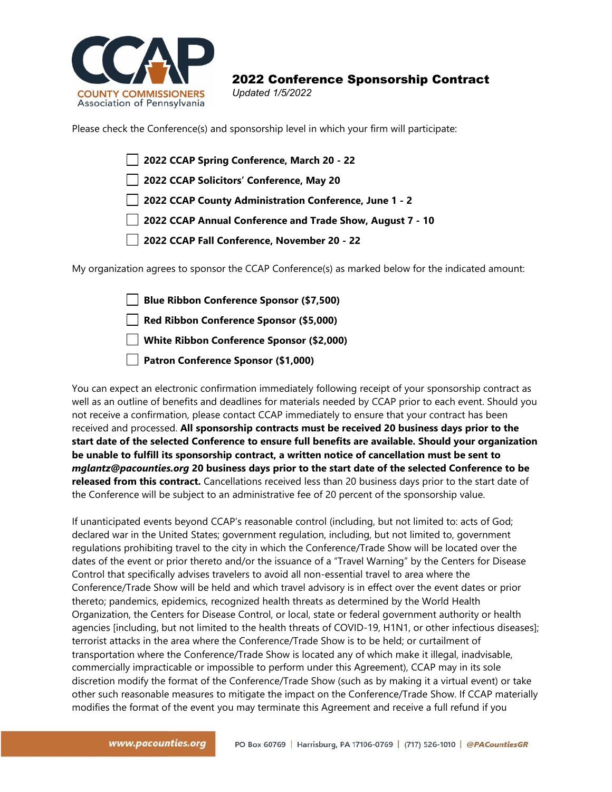

## 2022 Conference Sponsorship Contract *Updated 1/5/2022*

Please check the Conference(s) and sponsorship level in which your firm will participate:

|                                             | 2022 CCAP Spring Conference, March 20 - 22                             |  |
|---------------------------------------------|------------------------------------------------------------------------|--|
|                                             | 2022 CCAP Solicitors' Conference, May 20                               |  |
|                                             | 2022 CCAP County Administration Conference, June 1 - 2                 |  |
|                                             | 2022 CCAP Annual Conference and Trade Show, August 7 - 10              |  |
| 2022 CCAP Fall Conference, November 20 - 22 |                                                                        |  |
|                                             | ition agrees to sponsor the CCAP Conference(s) as marked helow for the |  |

My organization agrees to sponsor the CCAP Conference(s) as marked below for the indicated amount:

**Blue Ribbon Conference Sponsor (\$7,500) Red Ribbon Conference Sponsor (\$5,000) White Ribbon Conference Sponsor (\$2,000) Patron Conference Sponsor (\$1,000)**

You can expect an electronic confirmation immediately following receipt of your sponsorship contract as well as an outline of benefits and deadlines for materials needed by CCAP prior to each event. Should you not receive a confirmation, please contact CCAP immediately to ensure that your contract has been received and processed. **All sponsorship contracts must be received 20 business days prior to the start date of the selected Conference to ensure full benefits are available. Should your organization be unable to fulfill its sponsorship contract, a written notice of cancellation must be sent to**  *mglantz@pacounties.org* **20 business days prior to the start date of the selected Conference to be released from this contract.** Cancellations received less than 20 business days prior to the start date of the Conference will be subject to an administrative fee of 20 percent of the sponsorship value.

If unanticipated events beyond CCAP's reasonable control (including, but not limited to: acts of God; declared war in the United States; government regulation, including, but not limited to, government regulations prohibiting travel to the city in which the Conference/Trade Show will be located over the dates of the event or prior thereto and/or the issuance of a "Travel Warning" by the Centers for Disease Control that specifically advises travelers to avoid all non-essential travel to area where the Conference/Trade Show will be held and which travel advisory is in effect over the event dates or prior thereto; pandemics, epidemics, recognized health threats as determined by the World Health Organization, the Centers for Disease Control, or local, state or federal government authority or health agencies [including, but not limited to the health threats of COVID-19, H1N1, or other infectious diseases]; terrorist attacks in the area where the Conference/Trade Show is to be held; or curtailment of transportation where the Conference/Trade Show is located any of which make it illegal, inadvisable, commercially impracticable or impossible to perform under this Agreement), CCAP may in its sole discretion modify the format of the Conference/Trade Show (such as by making it a virtual event) or take other such reasonable measures to mitigate the impact on the Conference/Trade Show. If CCAP materially modifies the format of the event you may terminate this Agreement and receive a full refund if you